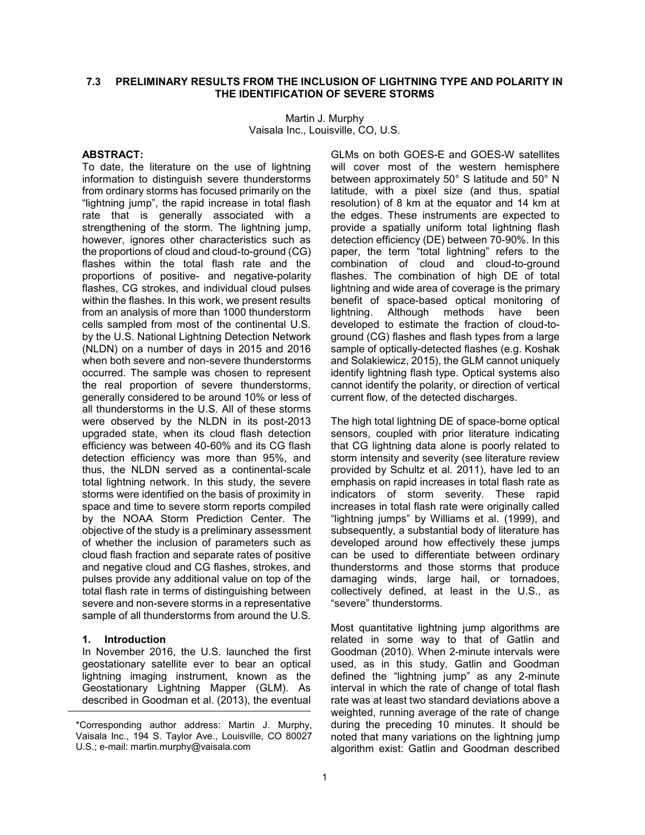# **7.3 PRELIMINARY RESULTS FROM THE INCLUSION OF LIGHTNING TYPE AND POLARITY IN THE IDENTIFICATION OF SEVERE STORMS**

Martin J. Murphy Vaisala Inc., Louisville, CO, U.S.

### **ABSTRACT:**

To date, the literature on the use of lightning information to distinguish severe thunderstorms from ordinary storms has focused primarily on the "lightning jump", the rapid increase in total flash rate that is generally associated with a strengthening of the storm. The lightning jump, however, ignores other characteristics such as the proportions of cloud and cloud-to-ground (CG) flashes within the total flash rate and the proportions of positive- and negative-polarity flashes, CG strokes, and individual cloud pulses within the flashes. In this work, we present results from an analysis of more than 1000 thunderstorm cells sampled from most of the continental U.S. by the U.S. National Lightning Detection Network (NLDN) on a number of days in 2015 and 2016 when both severe and non-severe thunderstorms occurred. The sample was chosen to represent the real proportion of severe thunderstorms, generally considered to be around 10% or less of all thunderstorms in the U.S. All of these storms were observed by the NLDN in its post-2013 upgraded state, when its cloud flash detection efficiency was between 40-60% and its CG flash detection efficiency was more than 95%, and thus, the NLDN served as a continental-scale total lightning network. In this study, the severe storms were identified on the basis of proximity in space and time to severe storm reports compiled by the NOAA Storm Prediction Center. The objective of the study is a preliminary assessment of whether the inclusion of parameters such as cloud flash fraction and separate rates of positive and negative cloud and CG flashes, strokes, and pulses provide any additional value on top of the total flash rate in terms of distinguishing between severe and non-severe storms in a representative sample of all thunderstorms from around the U.S.

#### **1. Introduction**

In November 2016, the U.S. launched the first geostationary satellite ever to bear an optical lightning imaging instrument, known as the Geostationary Lightning Mapper (GLM). As described in Goodman et al. (2013), the eventual GLMs on both GOES-E and GOES-W satellites will cover most of the western hemisphere between approximately 50° S latitude and 50° N latitude, with a pixel size (and thus, spatial resolution) of 8 km at the equator and 14 km at the edges. These instruments are expected to provide a spatially uniform total lightning flash detection efficiency (DE) between 70-90%. In this paper, the term "total lightning" refers to the combination of cloud and cloud-to-ground flashes. The combination of high DE of total lightning and wide area of coverage is the primary benefit of space-based optical monitoring of lightning. Although methods have been developed to estimate the fraction of cloud-toground (CG) flashes and flash types from a large sample of optically-detected flashes (e.g. Koshak and Solakiewicz, 2015), the GLM cannot uniquely identify lightning flash type. Optical systems also cannot identify the polarity, or direction of vertical current flow, of the detected discharges.

The high total lightning DE of space-borne optical sensors, coupled with prior literature indicating that CG lightning data alone is poorly related to storm intensity and severity (see literature review provided by Schultz et al. 2011), have led to an emphasis on rapid increases in total flash rate as indicators of storm severity. These rapid increases in total flash rate were originally called "lightning jumps" by Williams et al. (1999), and subsequently, a substantial body of literature has developed around how effectively these jumps can be used to differentiate between ordinary thunderstorms and those storms that produce damaging winds, large hail, or tornadoes, collectively defined, at least in the U.S., as "severe" thunderstorms.

Most quantitative lightning jump algorithms are related in some way to that of Gatlin and Goodman (2010). When 2-minute intervals were used, as in this study, Gatlin and Goodman defined the "lightning jump" as any 2-minute interval in which the rate of change of total flash rate was at least two standard deviations above a weighted, running average of the rate of change during the preceding 10 minutes. It should be noted that many variations on the lightning jump algorithm exist: Gatlin and Goodman described

<sup>\*</sup>Corresponding author address: Martin J. Murphy, Vaisala Inc., 194 S. Taylor Ave., Louisville, CO 80027 U.S.; e-mail: martin.murphy@vaisala.com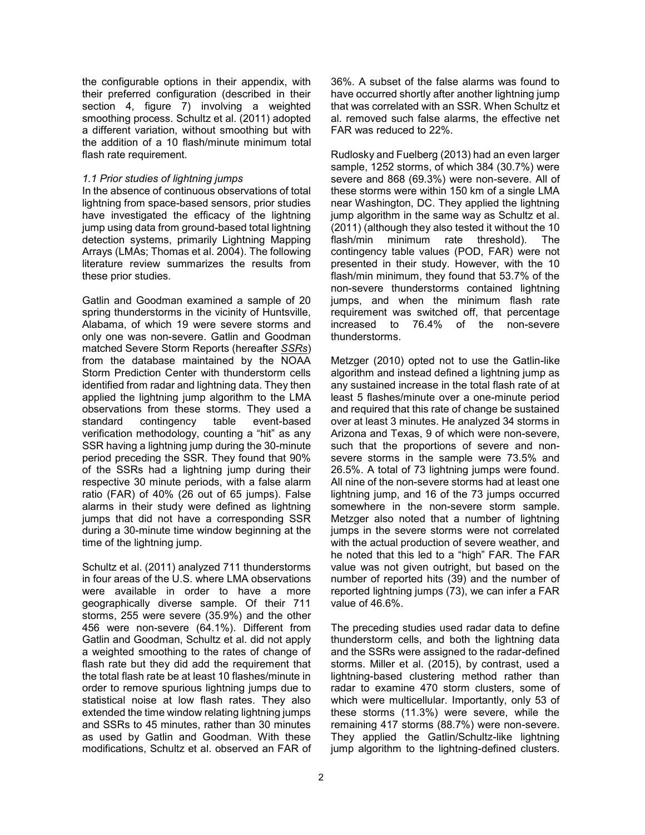the configurable options in their appendix, with their preferred configuration (described in their section 4, figure 7) involving a weighted smoothing process. Schultz et al. (2011) adopted a different variation, without smoothing but with the addition of a 10 flash/minute minimum total flash rate requirement.

### *1.1 Prior studies of lightning jumps*

In the absence of continuous observations of total lightning from space-based sensors, prior studies have investigated the efficacy of the lightning jump using data from ground-based total lightning detection systems, primarily Lightning Mapping Arrays (LMAs; Thomas et al. 2004). The following literature review summarizes the results from these prior studies.

Gatlin and Goodman examined a sample of 20 spring thunderstorms in the vicinity of Huntsville, Alabama, of which 19 were severe storms and only one was non-severe. Gatlin and Goodman matched Severe Storm Reports (hereafter *SSRs*) from the database maintained by the NOAA Storm Prediction Center with thunderstorm cells identified from radar and lightning data. They then applied the lightning jump algorithm to the LMA observations from these storms. They used a standard contingency table event-based verification methodology, counting a "hit" as any SSR having a lightning jump during the 30-minute period preceding the SSR. They found that 90% of the SSRs had a lightning jump during their respective 30 minute periods, with a false alarm ratio (FAR) of 40% (26 out of 65 jumps). False alarms in their study were defined as lightning jumps that did not have a corresponding SSR during a 30-minute time window beginning at the time of the lightning jump.

Schultz et al. (2011) analyzed 711 thunderstorms in four areas of the U.S. where LMA observations were available in order to have a more geographically diverse sample. Of their 711 storms, 255 were severe (35.9%) and the other 456 were non-severe (64.1%). Different from Gatlin and Goodman, Schultz et al. did not apply a weighted smoothing to the rates of change of flash rate but they did add the requirement that the total flash rate be at least 10 flashes/minute in order to remove spurious lightning jumps due to statistical noise at low flash rates. They also extended the time window relating lightning jumps and SSRs to 45 minutes, rather than 30 minutes as used by Gatlin and Goodman. With these modifications, Schultz et al. observed an FAR of 36%. A subset of the false alarms was found to have occurred shortly after another lightning jump that was correlated with an SSR. When Schultz et al. removed such false alarms, the effective net FAR was reduced to 22%.

Rudlosky and Fuelberg (2013) had an even larger sample, 1252 storms, of which 384 (30.7%) were severe and 868 (69.3%) were non-severe. All of these storms were within 150 km of a single LMA near Washington, DC. They applied the lightning jump algorithm in the same way as Schultz et al. (2011) (although they also tested it without the 10 flash/min minimum rate threshold). The contingency table values (POD, FAR) were not presented in their study. However, with the 10 flash/min minimum, they found that 53.7% of the non-severe thunderstorms contained lightning jumps, and when the minimum flash rate requirement was switched off, that percentage increased to 76.4% of the non-severe thunderstorms.

Metzger (2010) opted not to use the Gatlin-like algorithm and instead defined a lightning jump as any sustained increase in the total flash rate of at least 5 flashes/minute over a one-minute period and required that this rate of change be sustained over at least 3 minutes. He analyzed 34 storms in Arizona and Texas, 9 of which were non-severe, such that the proportions of severe and nonsevere storms in the sample were 73.5% and 26.5%. A total of 73 lightning jumps were found. All nine of the non-severe storms had at least one lightning jump, and 16 of the 73 jumps occurred somewhere in the non-severe storm sample. Metzger also noted that a number of lightning jumps in the severe storms were not correlated with the actual production of severe weather, and he noted that this led to a "high" FAR. The FAR value was not given outright, but based on the number of reported hits (39) and the number of reported lightning jumps (73), we can infer a FAR value of 46.6%.

The preceding studies used radar data to define thunderstorm cells, and both the lightning data and the SSRs were assigned to the radar-defined storms. Miller et al. (2015), by contrast, used a lightning-based clustering method rather than radar to examine 470 storm clusters, some of which were multicellular. Importantly, only 53 of these storms (11.3%) were severe, while the remaining 417 storms (88.7%) were non-severe. They applied the Gatlin/Schultz-like lightning jump algorithm to the lightning-defined clusters.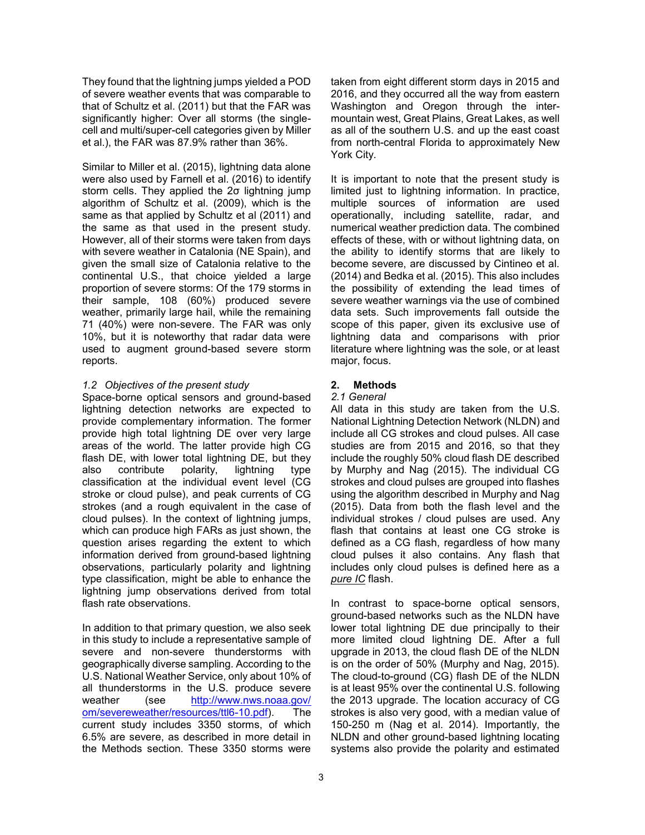They found that the lightning jumps yielded a POD of severe weather events that was comparable to that of Schultz et al. (2011) but that the FAR was significantly higher: Over all storms (the singlecell and multi/super-cell categories given by Miller et al.), the FAR was 87.9% rather than 36%.

Similar to Miller et al. (2015), lightning data alone were also used by Farnell et al. (2016) to identify storm cells. They applied the 2σ lightning jump algorithm of Schultz et al. (2009), which is the same as that applied by Schultz et al (2011) and the same as that used in the present study. However, all of their storms were taken from days with severe weather in Catalonia (NE Spain), and given the small size of Catalonia relative to the continental U.S., that choice yielded a large proportion of severe storms: Of the 179 storms in their sample, 108 (60%) produced severe weather, primarily large hail, while the remaining 71 (40%) were non-severe. The FAR was only 10%, but it is noteworthy that radar data were used to augment ground-based severe storm reports.

## *1.2 Objectives of the present study*

Space-borne optical sensors and ground-based lightning detection networks are expected to provide complementary information. The former provide high total lightning DE over very large areas of the world. The latter provide high CG flash DE, with lower total lightning DE, but they also contribute polarity, lightning type classification at the individual event level (CG stroke or cloud pulse), and peak currents of CG strokes (and a rough equivalent in the case of cloud pulses). In the context of lightning jumps, which can produce high FARs as just shown, the question arises regarding the extent to which information derived from ground-based lightning observations, particularly polarity and lightning type classification, might be able to enhance the lightning jump observations derived from total flash rate observations.

In addition to that primary question, we also seek in this study to include a representative sample of severe and non-severe thunderstorms with geographically diverse sampling. According to the U.S. National Weather Service, only about 10% of all thunderstorms in the U.S. produce severe weather (see [http://www.nws.noaa.gov/](http://www.nws.noaa.gov/%20om/severeweather/resources/ttl6-10.pdf)  [om/severeweather/resources/ttl6-10.pdf\)](http://www.nws.noaa.gov/%20om/severeweather/resources/ttl6-10.pdf). The current study includes 3350 storms, of which 6.5% are severe, as described in more detail in the Methods section. These 3350 storms were

taken from eight different storm days in 2015 and 2016, and they occurred all the way from eastern Washington and Oregon through the intermountain west, Great Plains, Great Lakes, as well as all of the southern U.S. and up the east coast from north-central Florida to approximately New York City.

It is important to note that the present study is limited just to lightning information. In practice, multiple sources of information are used operationally, including satellite, radar, and numerical weather prediction data. The combined effects of these, with or without lightning data, on the ability to identify storms that are likely to become severe, are discussed by Cintineo et al. (2014) and Bedka et al. (2015). This also includes the possibility of extending the lead times of severe weather warnings via the use of combined data sets. Such improvements fall outside the scope of this paper, given its exclusive use of lightning data and comparisons with prior literature where lightning was the sole, or at least major, focus.

### **2. Methods**

#### *2.1 General*

All data in this study are taken from the U.S. National Lightning Detection Network (NLDN) and include all CG strokes and cloud pulses. All case studies are from 2015 and 2016, so that they include the roughly 50% cloud flash DE described by Murphy and Nag (2015). The individual CG strokes and cloud pulses are grouped into flashes using the algorithm described in Murphy and Nag (2015). Data from both the flash level and the individual strokes / cloud pulses are used. Any flash that contains at least one CG stroke is defined as a CG flash, regardless of how many cloud pulses it also contains. Any flash that includes only cloud pulses is defined here as a *pure IC* flash.

In contrast to space-borne optical sensors, ground-based networks such as the NLDN have lower total lightning DE due principally to their more limited cloud lightning DE. After a full upgrade in 2013, the cloud flash DE of the NLDN is on the order of 50% (Murphy and Nag, 2015). The cloud-to-ground (CG) flash DE of the NLDN is at least 95% over the continental U.S. following the 2013 upgrade. The location accuracy of CG strokes is also very good, with a median value of 150-250 m (Nag et al. 2014). Importantly, the NLDN and other ground-based lightning locating systems also provide the polarity and estimated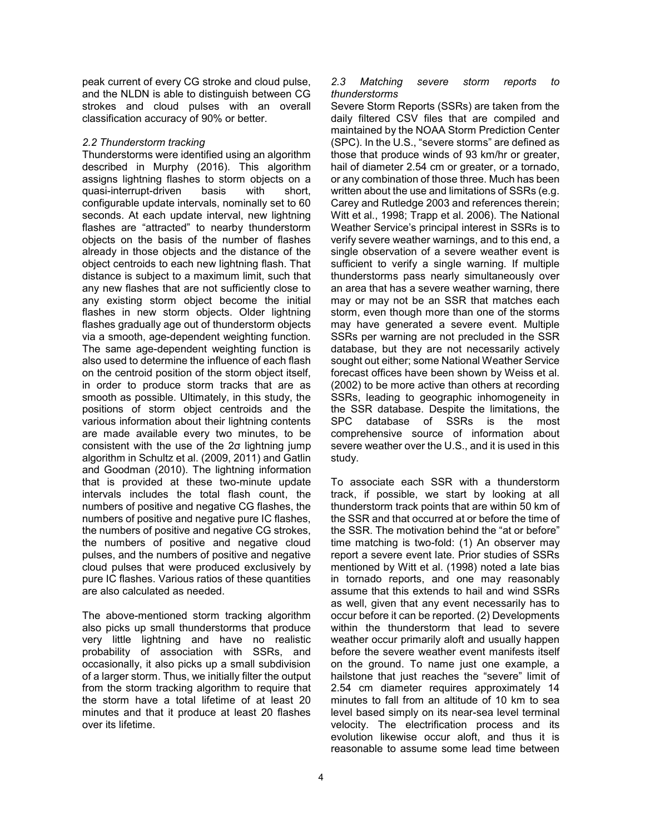peak current of every CG stroke and cloud pulse, and the NLDN is able to distinguish between CG strokes and cloud pulses with an overall classification accuracy of 90% or better.

## *2.2 Thunderstorm tracking*

Thunderstorms were identified using an algorithm described in Murphy (2016). This algorithm assigns lightning flashes to storm objects on a quasi-interrupt-driven basis with short, configurable update intervals, nominally set to 60 seconds. At each update interval, new lightning flashes are "attracted" to nearby thunderstorm objects on the basis of the number of flashes already in those objects and the distance of the object centroids to each new lightning flash. That distance is subject to a maximum limit, such that any new flashes that are not sufficiently close to any existing storm object become the initial flashes in new storm objects. Older lightning flashes gradually age out of thunderstorm objects via a smooth, age-dependent weighting function. The same age-dependent weighting function is also used to determine the influence of each flash on the centroid position of the storm object itself, in order to produce storm tracks that are as smooth as possible. Ultimately, in this study, the positions of storm object centroids and the various information about their lightning contents are made available every two minutes, to be consistent with the use of the 2σ lightning jump algorithm in Schultz et al. (2009, 2011) and Gatlin and Goodman (2010). The lightning information that is provided at these two-minute update intervals includes the total flash count, the numbers of positive and negative CG flashes, the numbers of positive and negative pure IC flashes, the numbers of positive and negative CG strokes, the numbers of positive and negative cloud pulses, and the numbers of positive and negative cloud pulses that were produced exclusively by pure IC flashes. Various ratios of these quantities are also calculated as needed.

The above-mentioned storm tracking algorithm also picks up small thunderstorms that produce very little lightning and have no realistic probability of association with SSRs, and occasionally, it also picks up a small subdivision of a larger storm. Thus, we initially filter the output from the storm tracking algorithm to require that the storm have a total lifetime of at least 20 minutes and that it produce at least 20 flashes over its lifetime.

### *2.3 Matching severe storm reports to thunderstorms*

Severe Storm Reports (SSRs) are taken from the daily filtered CSV files that are compiled and maintained by the NOAA Storm Prediction Center (SPC). In the U.S., "severe storms" are defined as those that produce winds of 93 km/hr or greater, hail of diameter 2.54 cm or greater, or a tornado, or any combination of those three. Much has been written about the use and limitations of SSRs (e.g. Carey and Rutledge 2003 and references therein; Witt et al., 1998; Trapp et al. 2006). The National Weather Service's principal interest in SSRs is to verify severe weather warnings, and to this end, a single observation of a severe weather event is sufficient to verify a single warning. If multiple thunderstorms pass nearly simultaneously over an area that has a severe weather warning, there may or may not be an SSR that matches each storm, even though more than one of the storms may have generated a severe event. Multiple SSRs per warning are not precluded in the SSR database, but they are not necessarily actively sought out either; some National Weather Service forecast offices have been shown by Weiss et al. (2002) to be more active than others at recording SSRs, leading to geographic inhomogeneity in the SSR database. Despite the limitations, the SPC database of SSRs is the most comprehensive source of information about severe weather over the U.S., and it is used in this study.

To associate each SSR with a thunderstorm track, if possible, we start by looking at all thunderstorm track points that are within 50 km of the SSR and that occurred at or before the time of the SSR. The motivation behind the "at or before" time matching is two-fold: (1) An observer may report a severe event late. Prior studies of SSRs mentioned by Witt et al. (1998) noted a late bias in tornado reports, and one may reasonably assume that this extends to hail and wind SSRs as well, given that any event necessarily has to occur before it can be reported. (2) Developments within the thunderstorm that lead to severe weather occur primarily aloft and usually happen before the severe weather event manifests itself on the ground. To name just one example, a hailstone that just reaches the "severe" limit of 2.54 cm diameter requires approximately 14 minutes to fall from an altitude of 10 km to sea level based simply on its near-sea level terminal velocity. The electrification process and its evolution likewise occur aloft, and thus it is reasonable to assume some lead time between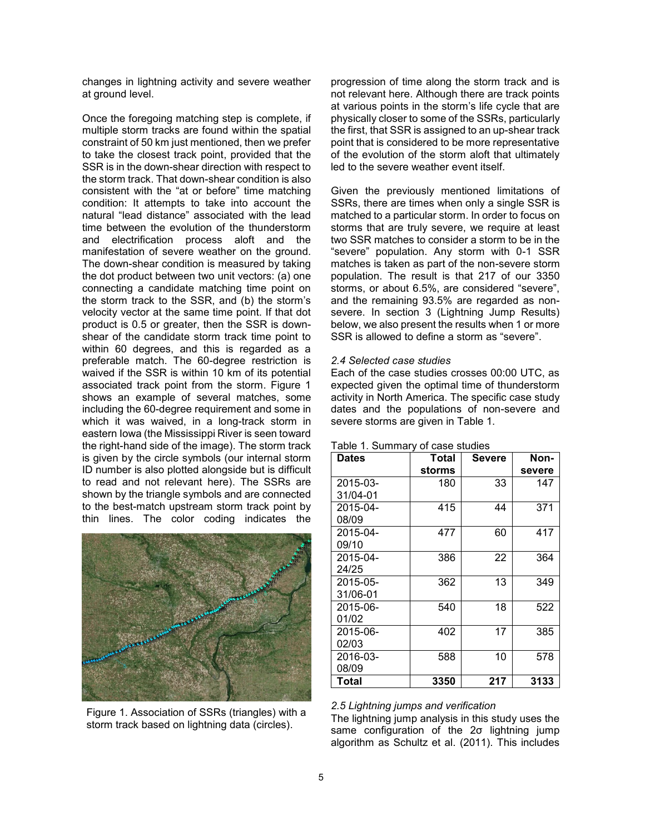changes in lightning activity and severe weather at ground level.

Once the foregoing matching step is complete, if multiple storm tracks are found within the spatial constraint of 50 km just mentioned, then we prefer to take the closest track point, provided that the SSR is in the down-shear direction with respect to the storm track. That down-shear condition is also consistent with the "at or before" time matching condition: It attempts to take into account the natural "lead distance" associated with the lead time between the evolution of the thunderstorm and electrification process aloft and the manifestation of severe weather on the ground. The down-shear condition is measured by taking the dot product between two unit vectors: (a) one connecting a candidate matching time point on the storm track to the SSR, and (b) the storm's velocity vector at the same time point. If that dot product is 0.5 or greater, then the SSR is downshear of the candidate storm track time point to within 60 degrees, and this is regarded as a preferable match. The 60-degree restriction is waived if the SSR is within 10 km of its potential associated track point from the storm. Figure 1 shows an example of several matches, some including the 60-degree requirement and some in which it was waived, in a long-track storm in eastern Iowa (the Mississippi River is seen toward the right-hand side of the image). The storm track is given by the circle symbols (our internal storm ID number is also plotted alongside but is difficult to read and not relevant here). The SSRs are shown by the triangle symbols and are connected to the best-match upstream storm track point by thin lines. The color coding indicates the



Figure 1. Association of SSRs (triangles) with a storm track based on lightning data (circles).

progression of time along the storm track and is not relevant here. Although there are track points at various points in the storm's life cycle that are physically closer to some of the SSRs, particularly the first, that SSR is assigned to an up-shear track point that is considered to be more representative of the evolution of the storm aloft that ultimately led to the severe weather event itself.

Given the previously mentioned limitations of SSRs, there are times when only a single SSR is matched to a particular storm. In order to focus on storms that are truly severe, we require at least two SSR matches to consider a storm to be in the "severe" population. Any storm with 0-1 SSR matches is taken as part of the non-severe storm population. The result is that 217 of our 3350 storms, or about 6.5%, are considered "severe", and the remaining 93.5% are regarded as nonsevere. In section 3 (Lightning Jump Results) below, we also present the results when 1 or more SSR is allowed to define a storm as "severe".

#### *2.4 Selected case studies*

Each of the case studies crosses 00:00 UTC, as expected given the optimal time of thunderstorm activity in North America. The specific case study dates and the populations of non-severe and severe storms are given in Table 1.

| Dates    | Total<br><b>Severe</b> |     | Non-   |
|----------|------------------------|-----|--------|
|          | storms                 |     | severe |
| 2015-03- | 180                    | 33  | 147    |
| 31/04-01 |                        |     |        |
| 2015-04- | 415                    | 44  | 371    |
| 08/09    |                        |     |        |
| 2015-04- | 477                    | 60  | 417    |
| 09/10    |                        |     |        |
| 2015-04- | 386                    | 22  | 364    |
| 24/25    |                        |     |        |
| 2015-05- | 362                    | 13  | 349    |
| 31/06-01 |                        |     |        |
| 2015-06- | 540                    | 18  | 522    |
| 01/02    |                        |     |        |
| 2015-06- | 402                    | 17  | 385    |
| 02/03    |                        |     |        |
| 2016-03- | 588                    | 10  | 578    |
| 08/09    |                        |     |        |
| Total    | 3350                   | 217 | 3133   |
|          |                        |     |        |

#### Table 1. Summary of case studies

#### *2.5 Lightning jumps and verification*

The lightning jump analysis in this study uses the same configuration of the 2σ lightning jump algorithm as Schultz et al. (2011). This includes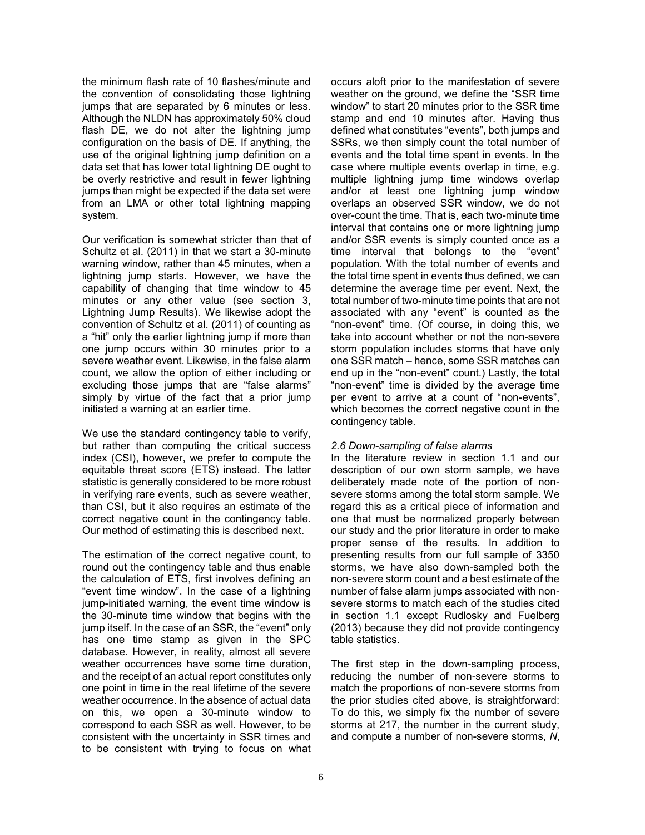the minimum flash rate of 10 flashes/minute and the convention of consolidating those lightning jumps that are separated by 6 minutes or less. Although the NLDN has approximately 50% cloud flash DE, we do not alter the lightning jump configuration on the basis of DE. If anything, the use of the original lightning jump definition on a data set that has lower total lightning DE ought to be overly restrictive and result in fewer lightning jumps than might be expected if the data set were from an LMA or other total lightning mapping system.

Our verification is somewhat stricter than that of Schultz et al. (2011) in that we start a 30-minute warning window, rather than 45 minutes, when a lightning jump starts. However, we have the capability of changing that time window to 45 minutes or any other value (see section 3, Lightning Jump Results). We likewise adopt the convention of Schultz et al. (2011) of counting as a "hit" only the earlier lightning jump if more than one jump occurs within 30 minutes prior to a severe weather event. Likewise, in the false alarm count, we allow the option of either including or excluding those jumps that are "false alarms" simply by virtue of the fact that a prior jump initiated a warning at an earlier time.

We use the standard contingency table to verify, but rather than computing the critical success index (CSI), however, we prefer to compute the equitable threat score (ETS) instead. The latter statistic is generally considered to be more robust in verifying rare events, such as severe weather, than CSI, but it also requires an estimate of the correct negative count in the contingency table. Our method of estimating this is described next.

The estimation of the correct negative count, to round out the contingency table and thus enable the calculation of ETS, first involves defining an "event time window". In the case of a lightning jump-initiated warning, the event time window is the 30-minute time window that begins with the jump itself. In the case of an SSR, the "event" only has one time stamp as given in the SPC database. However, in reality, almost all severe weather occurrences have some time duration, and the receipt of an actual report constitutes only one point in time in the real lifetime of the severe weather occurrence. In the absence of actual data on this, we open a 30-minute window to correspond to each SSR as well. However, to be consistent with the uncertainty in SSR times and to be consistent with trying to focus on what occurs aloft prior to the manifestation of severe weather on the ground, we define the "SSR time window" to start 20 minutes prior to the SSR time stamp and end 10 minutes after. Having thus defined what constitutes "events", both jumps and SSRs, we then simply count the total number of events and the total time spent in events. In the case where multiple events overlap in time, e.g. multiple lightning jump time windows overlap and/or at least one lightning jump window overlaps an observed SSR window, we do not over-count the time. That is, each two-minute time interval that contains one or more lightning jump and/or SSR events is simply counted once as a time interval that belongs to the "event" population. With the total number of events and the total time spent in events thus defined, we can determine the average time per event. Next, the total number of two-minute time points that are not associated with any "event" is counted as the "non-event" time. (Of course, in doing this, we take into account whether or not the non-severe storm population includes storms that have only one SSR match – hence, some SSR matches can end up in the "non-event" count.) Lastly, the total "non-event" time is divided by the average time per event to arrive at a count of "non-events", which becomes the correct negative count in the contingency table.

## *2.6 Down-sampling of false alarms*

In the literature review in section 1.1 and our description of our own storm sample, we have deliberately made note of the portion of nonsevere storms among the total storm sample. We regard this as a critical piece of information and one that must be normalized properly between our study and the prior literature in order to make proper sense of the results. In addition to presenting results from our full sample of 3350 storms, we have also down-sampled both the non-severe storm count and a best estimate of the number of false alarm jumps associated with nonsevere storms to match each of the studies cited in section 1.1 except Rudlosky and Fuelberg (2013) because they did not provide contingency table statistics.

The first step in the down-sampling process, reducing the number of non-severe storms to match the proportions of non-severe storms from the prior studies cited above, is straightforward: To do this, we simply fix the number of severe storms at 217, the number in the current study, and compute a number of non-severe storms, *N*,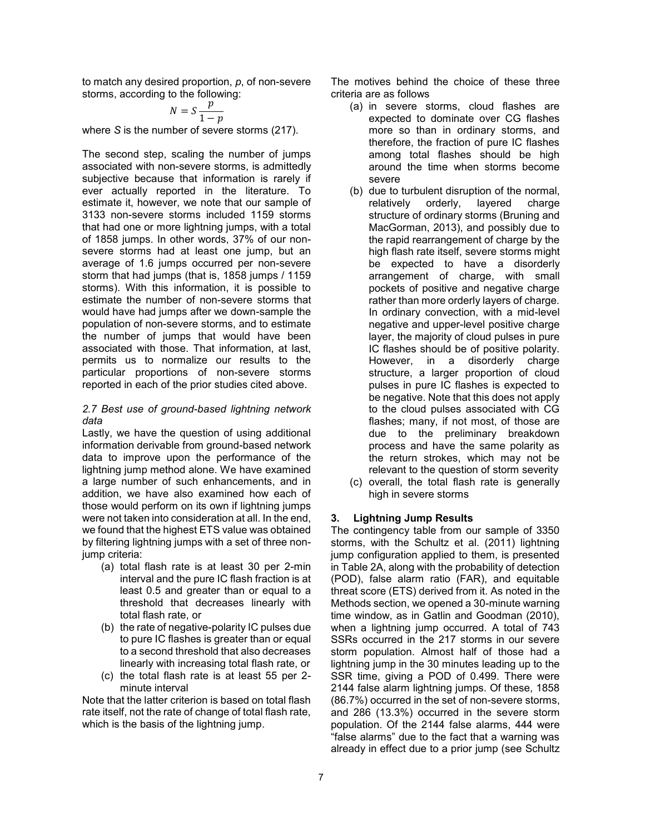to match any desired proportion, *p*, of non-severe storms, according to the following:

$$
N = S \frac{p}{1 - p}
$$

where *S* is the number of severe storms (217).

The second step, scaling the number of jumps associated with non-severe storms, is admittedly subjective because that information is rarely if ever actually reported in the literature. To estimate it, however, we note that our sample of 3133 non-severe storms included 1159 storms that had one or more lightning jumps, with a total of 1858 jumps. In other words, 37% of our nonsevere storms had at least one jump, but an average of 1.6 jumps occurred per non-severe storm that had jumps (that is, 1858 jumps / 1159 storms). With this information, it is possible to estimate the number of non-severe storms that would have had jumps after we down-sample the population of non-severe storms, and to estimate the number of jumps that would have been associated with those. That information, at last, permits us to normalize our results to the particular proportions of non-severe storms reported in each of the prior studies cited above.

### *2.7 Best use of ground-based lightning network data*

Lastly, we have the question of using additional information derivable from ground-based network data to improve upon the performance of the lightning jump method alone. We have examined a large number of such enhancements, and in addition, we have also examined how each of those would perform on its own if lightning jumps were not taken into consideration at all. In the end, we found that the highest ETS value was obtained by filtering lightning jumps with a set of three nonjump criteria:

- (a) total flash rate is at least 30 per 2-min interval and the pure IC flash fraction is at least 0.5 and greater than or equal to a threshold that decreases linearly with total flash rate, or
- (b) the rate of negative-polarity IC pulses due to pure IC flashes is greater than or equal to a second threshold that also decreases linearly with increasing total flash rate, or
- (c) the total flash rate is at least 55 per 2 minute interval

Note that the latter criterion is based on total flash rate itself, not the rate of change of total flash rate, which is the basis of the lightning jump.

The motives behind the choice of these three criteria are as follows

- (a) in severe storms, cloud flashes are expected to dominate over CG flashes more so than in ordinary storms, and therefore, the fraction of pure IC flashes among total flashes should be high around the time when storms become severe
- (b) due to turbulent disruption of the normal, relatively orderly, layered charge structure of ordinary storms (Bruning and MacGorman, 2013), and possibly due to the rapid rearrangement of charge by the high flash rate itself, severe storms might be expected to have a disorderly arrangement of charge, with small pockets of positive and negative charge rather than more orderly layers of charge. In ordinary convection, with a mid-level negative and upper-level positive charge layer, the majority of cloud pulses in pure IC flashes should be of positive polarity. However, in a disorderly charge structure, a larger proportion of cloud pulses in pure IC flashes is expected to be negative. Note that this does not apply to the cloud pulses associated with CG flashes; many, if not most, of those are due to the preliminary breakdown process and have the same polarity as the return strokes, which may not be relevant to the question of storm severity
- (c) overall, the total flash rate is generally high in severe storms

## **3. Lightning Jump Results**

The contingency table from our sample of 3350 storms, with the Schultz et al. (2011) lightning jump configuration applied to them, is presented in Table 2A, along with the probability of detection (POD), false alarm ratio (FAR), and equitable threat score (ETS) derived from it. As noted in the Methods section, we opened a 30-minute warning time window, as in Gatlin and Goodman (2010), when a lightning jump occurred. A total of 743 SSRs occurred in the 217 storms in our severe storm population. Almost half of those had a lightning jump in the 30 minutes leading up to the SSR time, giving a POD of 0.499. There were 2144 false alarm lightning jumps. Of these, 1858 (86.7%) occurred in the set of non-severe storms, and 286 (13.3%) occurred in the severe storm population. Of the 2144 false alarms, 444 were "false alarms" due to the fact that a warning was already in effect due to a prior jump (see Schultz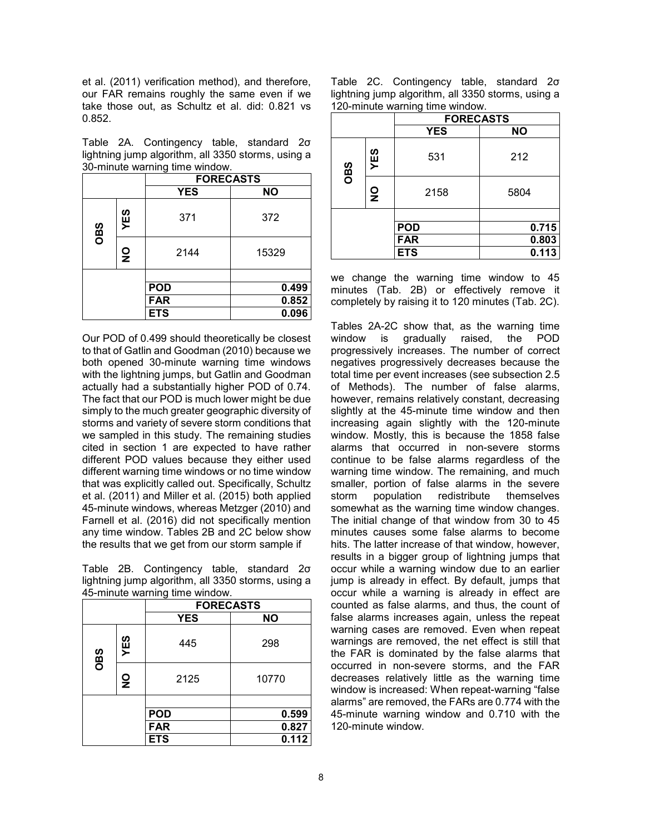et al. (2011) verification method), and therefore, our FAR remains roughly the same even if we take those out, as Schultz et al. did: 0.821 vs 0.852.

Table 2A. Contingency table, standard 2σ lightning jump algorithm, all 3350 storms, using a 30-minute warning time window.

|                             |  | <u>.</u><br><b>FORECASTS</b> |           |
|-----------------------------|--|------------------------------|-----------|
|                             |  | <b>YES</b>                   | <b>NO</b> |
| YES<br>OBS<br>$\frac{0}{2}$ |  | 371                          | 372       |
|                             |  | 2144                         | 15329     |
|                             |  |                              |           |
|                             |  | <b>POD</b>                   | 0.499     |
|                             |  | <b>FAR</b>                   | 0.852     |
| <b>ETS</b>                  |  | 0.096                        |           |

Our POD of 0.499 should theoretically be closest to that of Gatlin and Goodman (2010) because we both opened 30-minute warning time windows with the lightning jumps, but Gatlin and Goodman actually had a substantially higher POD of 0.74. The fact that our POD is much lower might be due simply to the much greater geographic diversity of storms and variety of severe storm conditions that we sampled in this study. The remaining studies cited in section 1 are expected to have rather different POD values because they either used different warning time windows or no time window that was explicitly called out. Specifically, Schultz et al. (2011) and Miller et al. (2015) both applied 45-minute windows, whereas Metzger (2010) and Farnell et al. (2016) did not specifically mention any time window. Tables 2B and 2C below show the results that we get from our storm sample if

Table 2B. Contingency table, standard 2σ lightning jump algorithm, all 3350 storms, using a 45-minute warning time window.

|            |                                 | -------<br><b>FORECASTS</b> |       |  |  |  |
|------------|---------------------------------|-----------------------------|-------|--|--|--|
|            |                                 | <b>YES</b>                  | ΝO    |  |  |  |
| YES<br>CBS |                                 | 445                         | 298   |  |  |  |
|            | $\frac{\mathsf{O}}{\mathsf{Z}}$ | 2125                        | 10770 |  |  |  |
|            |                                 |                             |       |  |  |  |
|            |                                 | <b>POD</b>                  | 0.599 |  |  |  |
|            |                                 | <b>FAR</b>                  | 0.827 |  |  |  |
|            |                                 | <b>ETS</b>                  | 0.112 |  |  |  |

|  | Table 2C. Contingency table, standard 20           |  |  |
|--|----------------------------------------------------|--|--|
|  | lightning jump algorithm, all 3350 storms, using a |  |  |
|  | 120-minute warning time window.                    |  |  |

|            |                                 | <b>FORECASTS</b> |           |  |  |  |
|------------|---------------------------------|------------------|-----------|--|--|--|
|            |                                 | <b>YES</b>       | <b>NO</b> |  |  |  |
| YES<br>CBS |                                 | 531              | 212       |  |  |  |
|            | $\frac{\mathsf{O}}{\mathsf{Z}}$ | 2158             | 5804      |  |  |  |
|            |                                 |                  |           |  |  |  |
|            |                                 | <b>POD</b>       | 0.715     |  |  |  |
|            |                                 | <b>FAR</b>       | 0.803     |  |  |  |
|            |                                 | <b>ETS</b>       | 0.113     |  |  |  |

we change the warning time window to 45 minutes (Tab. 2B) or effectively remove it completely by raising it to 120 minutes (Tab. 2C).

Tables 2A-2C show that, as the warning time window is gradually raised, the POD progressively increases. The number of correct negatives progressively decreases because the total time per event increases (see subsection 2.5 of Methods). The number of false alarms, however, remains relatively constant, decreasing slightly at the 45-minute time window and then increasing again slightly with the 120-minute window. Mostly, this is because the 1858 false alarms that occurred in non-severe storms continue to be false alarms regardless of the warning time window. The remaining, and much smaller, portion of false alarms in the severe storm population redistribute themselves somewhat as the warning time window changes. The initial change of that window from 30 to 45 minutes causes some false alarms to become hits. The latter increase of that window, however, results in a bigger group of lightning jumps that occur while a warning window due to an earlier jump is already in effect. By default, jumps that occur while a warning is already in effect are counted as false alarms, and thus, the count of false alarms increases again, unless the repeat warning cases are removed. Even when repeat warnings are removed, the net effect is still that the FAR is dominated by the false alarms that occurred in non-severe storms, and the FAR decreases relatively little as the warning time window is increased: When repeat-warning "false alarms" are removed, the FARs are 0.774 with the 45-minute warning window and 0.710 with the 120-minute window.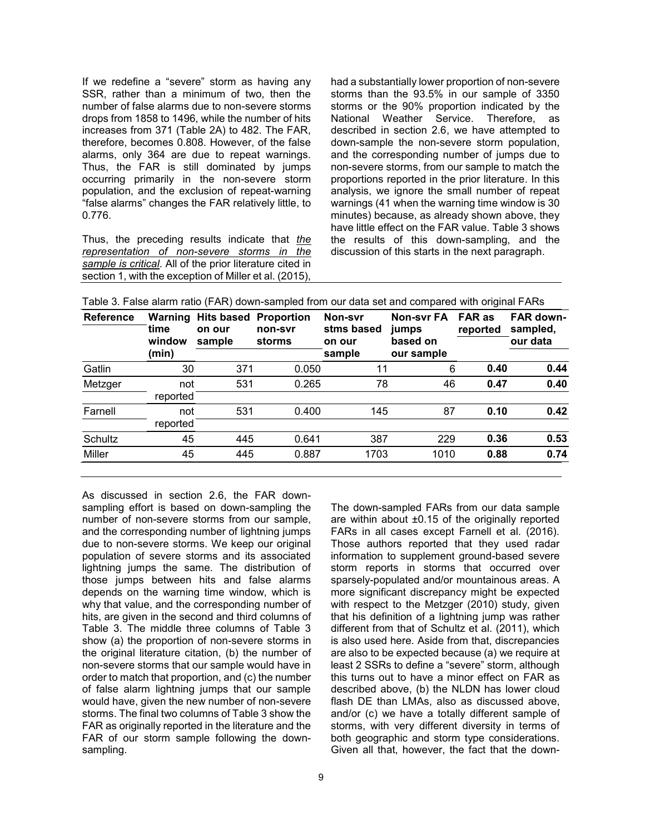If we redefine a "severe" storm as having any SSR, rather than a minimum of two, then the number of false alarms due to non-severe storms drops from 1858 to 1496, while the number of hits increases from 371 (Table 2A) to 482. The FAR, therefore, becomes 0.808. However, of the false alarms, only 364 are due to repeat warnings. Thus, the FAR is still dominated by jumps occurring primarily in the non-severe storm population, and the exclusion of repeat-warning "false alarms" changes the FAR relatively little, to 0.776.

Thus, the preceding results indicate that *the representation of non-severe storms in the sample is critical*. All of the prior literature cited in section 1, with the exception of Miller et al. (2015),

had a substantially lower proportion of non-severe storms than the 93.5% in our sample of 3350 storms or the 90% proportion indicated by the National Weather Service. Therefore, as described in section 2.6, we have attempted to down-sample the non-severe storm population, and the corresponding number of jumps due to non-severe storms, from our sample to match the proportions reported in the prior literature. In this analysis, we ignore the small number of repeat warnings (41 when the warning time window is 30 minutes) because, as already shown above, they have little effect on the FAR value. Table 3 shows the results of this down-sampling, and the discussion of this starts in the next paragraph.

| <b>Reference</b> | Warning<br>time<br>window<br>(min) | <b>Hits based</b><br>on our<br>sample | <b>Proportion</b><br>non-svr<br>storms | Non-svr<br>stms based<br>on our<br>sample | <b>Non-svr FA</b><br>jumps<br>based on<br>our sample | <b>FAR as</b><br>reported | <b>FAR down-</b><br>sampled,<br>our data |  |
|------------------|------------------------------------|---------------------------------------|----------------------------------------|-------------------------------------------|------------------------------------------------------|---------------------------|------------------------------------------|--|
| Gatlin           | 30                                 | 371                                   | 0.050                                  | 11                                        | 6                                                    | 0.40                      | 0.44                                     |  |
| Metzger          | not<br>reported                    | 531                                   | 0.265                                  | 78                                        | 46                                                   | 0.47                      | 0.40                                     |  |
| Farnell          | not<br>reported                    | 531                                   | 0.400                                  | 145                                       | 87                                                   | 0.10                      | 0.42                                     |  |
| Schultz          | 45                                 | 445                                   | 0.641                                  | 387                                       | 229                                                  | 0.36                      | 0.53                                     |  |
| Miller           | 45                                 | 445                                   | 0.887                                  | 1703                                      | 1010                                                 | 0.88                      | 0.74                                     |  |

|  |  |  |  | Table 3. False alarm ratio (FAR) down-sampled from our data set and compared with original FARs |
|--|--|--|--|-------------------------------------------------------------------------------------------------|
|  |  |  |  |                                                                                                 |

As discussed in section 2.6, the FAR downsampling effort is based on down-sampling the number of non-severe storms from our sample, and the corresponding number of lightning jumps due to non-severe storms. We keep our original population of severe storms and its associated lightning jumps the same. The distribution of those jumps between hits and false alarms depends on the warning time window, which is why that value, and the corresponding number of hits, are given in the second and third columns of Table 3. The middle three columns of Table 3 show (a) the proportion of non-severe storms in the original literature citation, (b) the number of non-severe storms that our sample would have in order to match that proportion, and (c) the number of false alarm lightning jumps that our sample would have, given the new number of non-severe storms. The final two columns of Table 3 show the FAR as originally reported in the literature and the FAR of our storm sample following the downsampling.

The down-sampled FARs from our data sample are within about  $\pm 0.15$  of the originally reported FARs in all cases except Farnell et al. (2016). Those authors reported that they used radar information to supplement ground-based severe storm reports in storms that occurred over sparsely-populated and/or mountainous areas. A more significant discrepancy might be expected with respect to the Metzger (2010) study, given that his definition of a lightning jump was rather different from that of Schultz et al. (2011), which is also used here. Aside from that, discrepancies are also to be expected because (a) we require at least 2 SSRs to define a "severe" storm, although this turns out to have a minor effect on FAR as described above, (b) the NLDN has lower cloud flash DE than LMAs, also as discussed above, and/or (c) we have a totally different sample of storms, with very different diversity in terms of both geographic and storm type considerations. Given all that, however, the fact that the down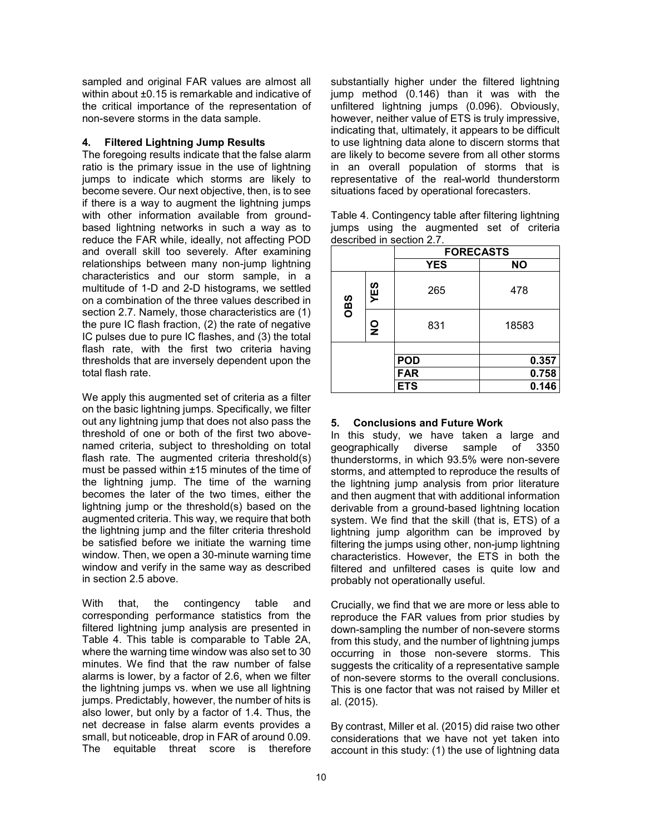sampled and original FAR values are almost all within about ±0.15 is remarkable and indicative of the critical importance of the representation of non-severe storms in the data sample.

## **4. Filtered Lightning Jump Results**

The foregoing results indicate that the false alarm ratio is the primary issue in the use of lightning jumps to indicate which storms are likely to become severe. Our next objective, then, is to see if there is a way to augment the lightning jumps with other information available from groundbased lightning networks in such a way as to reduce the FAR while, ideally, not affecting POD and overall skill too severely. After examining relationships between many non-jump lightning characteristics and our storm sample, in a multitude of 1-D and 2-D histograms, we settled on a combination of the three values described in section 2.7. Namely, those characteristics are (1) the pure IC flash fraction, (2) the rate of negative IC pulses due to pure IC flashes, and (3) the total flash rate, with the first two criteria having thresholds that are inversely dependent upon the total flash rate.

We apply this augmented set of criteria as a filter on the basic lightning jumps. Specifically, we filter out any lightning jump that does not also pass the threshold of one or both of the first two abovenamed criteria, subject to thresholding on total flash rate. The augmented criteria threshold(s) must be passed within ±15 minutes of the time of the lightning jump. The time of the warning becomes the later of the two times, either the lightning jump or the threshold(s) based on the augmented criteria. This way, we require that both the lightning jump and the filter criteria threshold be satisfied before we initiate the warning time window. Then, we open a 30-minute warning time window and verify in the same way as described in section 2.5 above.

With that, the contingency table and corresponding performance statistics from the filtered lightning jump analysis are presented in Table 4. This table is comparable to Table 2A, where the warning time window was also set to 30 minutes. We find that the raw number of false alarms is lower, by a factor of 2.6, when we filter the lightning jumps vs. when we use all lightning jumps. Predictably, however, the number of hits is also lower, but only by a factor of 1.4. Thus, the net decrease in false alarm events provides a small, but noticeable, drop in FAR of around 0.09. The equitable threat score is therefore

substantially higher under the filtered lightning jump method (0.146) than it was with the unfiltered lightning jumps (0.096). Obviously, however, neither value of ETS is truly impressive, indicating that, ultimately, it appears to be difficult to use lightning data alone to discern storms that are likely to become severe from all other storms in an overall population of storms that is representative of the real-world thunderstorm situations faced by operational forecasters.

Table 4. Contingency table after filtering lightning jumps using the augmented set of criteria described in section 2.7.

|            |               | <b>FORECASTS</b> |           |  |
|------------|---------------|------------------|-----------|--|
|            |               | <b>YES</b>       | <b>NO</b> |  |
| YES<br>CBS |               | 265              | 478       |  |
|            | $\frac{0}{2}$ | 831              | 18583     |  |
|            |               |                  |           |  |
|            |               | <b>POD</b>       | 0.357     |  |
|            |               | <b>FAR</b>       | 0.758     |  |
|            |               | <b>ETS</b>       | 0.146     |  |

## **5. Conclusions and Future Work**

In this study, we have taken a large and geographically diverse sample of 3350 thunderstorms, in which 93.5% were non-severe storms, and attempted to reproduce the results of the lightning jump analysis from prior literature and then augment that with additional information derivable from a ground-based lightning location system. We find that the skill (that is, ETS) of a lightning jump algorithm can be improved by filtering the jumps using other, non-jump lightning characteristics. However, the ETS in both the filtered and unfiltered cases is quite low and probably not operationally useful.

Crucially, we find that we are more or less able to reproduce the FAR values from prior studies by down-sampling the number of non-severe storms from this study, and the number of lightning jumps occurring in those non-severe storms. This suggests the criticality of a representative sample of non-severe storms to the overall conclusions. This is one factor that was not raised by Miller et al. (2015).

By contrast, Miller et al. (2015) did raise two other considerations that we have not yet taken into account in this study: (1) the use of lightning data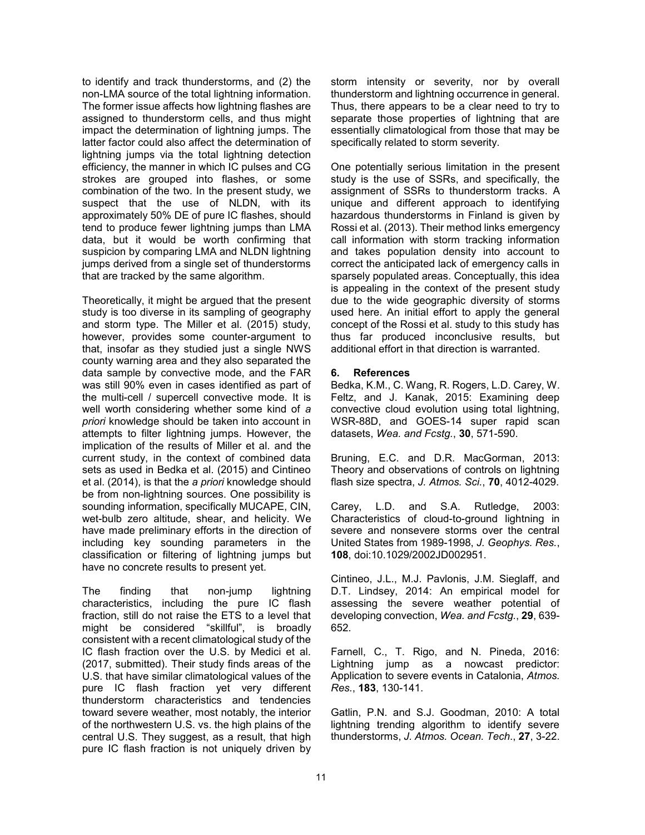to identify and track thunderstorms, and (2) the non-LMA source of the total lightning information. The former issue affects how lightning flashes are assigned to thunderstorm cells, and thus might impact the determination of lightning jumps. The latter factor could also affect the determination of lightning jumps via the total lightning detection efficiency, the manner in which IC pulses and CG strokes are grouped into flashes, or some combination of the two. In the present study, we suspect that the use of NLDN, with its approximately 50% DE of pure IC flashes, should tend to produce fewer lightning jumps than LMA data, but it would be worth confirming that suspicion by comparing LMA and NLDN lightning jumps derived from a single set of thunderstorms that are tracked by the same algorithm.

Theoretically, it might be argued that the present study is too diverse in its sampling of geography and storm type. The Miller et al. (2015) study, however, provides some counter-argument to that, insofar as they studied just a single NWS county warning area and they also separated the data sample by convective mode, and the FAR was still 90% even in cases identified as part of the multi-cell / supercell convective mode. It is well worth considering whether some kind of *a priori* knowledge should be taken into account in attempts to filter lightning jumps. However, the implication of the results of Miller et al. and the current study, in the context of combined data sets as used in Bedka et al. (2015) and Cintineo et al. (2014), is that the *a priori* knowledge should be from non-lightning sources. One possibility is sounding information, specifically MUCAPE, CIN, wet-bulb zero altitude, shear, and helicity. We have made preliminary efforts in the direction of including key sounding parameters in the classification or filtering of lightning jumps but have no concrete results to present yet.

The finding that non-jump lightning characteristics, including the pure IC flash fraction, still do not raise the ETS to a level that might be considered "skillful", is broadly consistent with a recent climatological study of the IC flash fraction over the U.S. by Medici et al. (2017, submitted). Their study finds areas of the U.S. that have similar climatological values of the pure IC flash fraction yet very different thunderstorm characteristics and tendencies toward severe weather, most notably, the interior of the northwestern U.S. vs. the high plains of the central U.S. They suggest, as a result, that high pure IC flash fraction is not uniquely driven by storm intensity or severity, nor by overall thunderstorm and lightning occurrence in general. Thus, there appears to be a clear need to try to separate those properties of lightning that are essentially climatological from those that may be specifically related to storm severity.

One potentially serious limitation in the present study is the use of SSRs, and specifically, the assignment of SSRs to thunderstorm tracks. A unique and different approach to identifying hazardous thunderstorms in Finland is given by Rossi et al. (2013). Their method links emergency call information with storm tracking information and takes population density into account to correct the anticipated lack of emergency calls in sparsely populated areas. Conceptually, this idea is appealing in the context of the present study due to the wide geographic diversity of storms used here. An initial effort to apply the general concept of the Rossi et al. study to this study has thus far produced inconclusive results, but additional effort in that direction is warranted.

# **6. References**

Bedka, K.M., C. Wang, R. Rogers, L.D. Carey, W. Feltz, and J. Kanak, 2015: Examining deep convective cloud evolution using total lightning, WSR-88D, and GOES-14 super rapid scan datasets, *Wea. and Fcstg.*, **30**, 571-590.

Bruning, E.C. and D.R. MacGorman, 2013: Theory and observations of controls on lightning flash size spectra, *J. Atmos. Sci.*, **70**, 4012-4029.

Carey, L.D. and S.A. Rutledge, 2003: Characteristics of cloud-to-ground lightning in severe and nonsevere storms over the central United States from 1989-1998, *J. Geophys. Res.*, **108**, doi:10.1029/2002JD002951.

Cintineo, J.L., M.J. Pavlonis, J.M. Sieglaff, and D.T. Lindsey, 2014: An empirical model for assessing the severe weather potential of developing convection, *Wea. and Fcstg.*, **29**, 639- 652.

Farnell, C., T. Rigo, and N. Pineda, 2016: Lightning jump as a nowcast predictor: Application to severe events in Catalonia, *Atmos. Res.*, **183**, 130-141.

Gatlin, P.N. and S.J. Goodman, 2010: A total lightning trending algorithm to identify severe thunderstorms, *J. Atmos. Ocean. Tech*., **27**, 3-22.